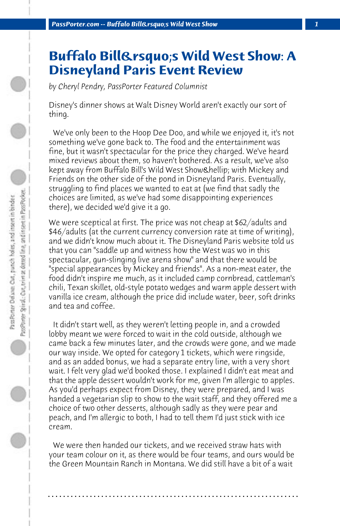## **Buffalo Bill's Wild West Show: A Disneyland Paris Event Review**

*by Cheryl Pendry, PassPorter Featured Columnist*

Disney's dinner shows at Walt Disney World aren't exactly our sort of thing.

 We've only been to the Hoop Dee Doo, and while we enjoyed it, it's not something we've gone back to. The food and the entertainment was fine, but it wasn't spectacular for the price they charged. We've heard mixed reviews about them, so haven't bothered. As a result, we've also kept away from Buffalo Bill's Wild West Show… with Mickey and Friends on the other side of the pond in Disneyland Paris. Eventually, struggling to find places we wanted to eat at (we find that sadly the choices are limited, as we've had some disappointing experiences there), we decided we'd give it a go.

We were sceptical at first. The price was not cheap at \$62/adults and \$46/adults (at the current currency conversion rate at time of writing), and we didn't know much about it. The Disneyland Paris website told us that you can "saddle up and witness how the West was wo in this spectacular, gun-slinging live arena show" and that there would be "special appearances by Mickey and friends". As a non-meat eater, the food didn't inspire me much, as it included camp cornbread, cattleman's chili, Texan skillet, old-style potato wedges and warm apple dessert with vanilla ice cream, although the price did include water, beer, soft drinks and tea and coffee.

 It didn't start well, as they weren't letting people in, and a crowded lobby meant we were forced to wait in the cold outside, although we came back a few minutes later, and the crowds were gone, and we made our way inside. We opted for category 1 tickets, which were ringside, and as an added bonus, we had a separate entry line, with a very short wait. I felt very glad we'd booked those. I explained I didn't eat meat and that the apple dessert wouldn't work for me, given I'm allergic to apples. As you'd perhaps expect from Disney, they were prepared, and I was handed a vegetarian slip to show to the wait staff, and they offered me a choice of two other desserts, although sadly as they were pear and peach, and I'm allergic to both, I had to tell them I'd just stick with ice cream.

 We were then handed our tickets, and we received straw hats with your team colour on it, as there would be four teams, and ours would be the Green Mountain Ranch in Montana. We did still have a bit of a wait

**. . . . . . . . . . . . . . . . . . . . . . . . . . . . . . . . . . . . . . . . . . . . . . . . . . . . . . . . . . . . . . . . . .**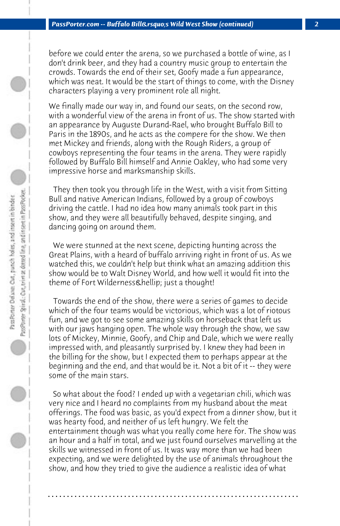before we could enter the arena, so we purchased a bottle of wine, as I don't drink beer, and they had a country music group to entertain the crowds. Towards the end of their set, Goofy made a fun appearance, which was neat. It would be the start of things to come, with the Disney characters playing a very prominent role all night.

We finally made our way in, and found our seats, on the second row, with a wonderful view of the arena in front of us. The show started with an appearance by Auguste Durand-Rael, who brought Buffalo Bill to Paris in the 1890s, and he acts as the compere for the show. We then met Mickey and friends, along with the Rough Riders, a group of cowboys representing the four teams in the arena. They were rapidly followed by Buffalo Bill himself and Annie Oakley, who had some very impressive horse and marksmanship skills.

 They then took you through life in the West, with a visit from Sitting Bull and native American Indians, followed by a group of cowboys driving the cattle. I had no idea how many animals took part in this show, and they were all beautifully behaved, despite singing, and dancing going on around them.

 We were stunned at the next scene, depicting hunting across the Great Plains, with a heard of buffalo arriving right in front of us. As we watched this, we couldn't help but think what an amazing addition this show would be to Walt Disney World, and how well it would fit into the theme of Fort Wilderness & hellip; just a thought!

 Towards the end of the show, there were a series of games to decide which of the four teams would be victorious, which was a lot of riotous fun, and we got to see some amazing skills on horseback that left us with our jaws hanging open. The whole way through the show, we saw lots of Mickey, Minnie, Goofy, and Chip and Dale, which we were really impressed with, and pleasantly surprised by. I knew they had been in the billing for the show, but I expected them to perhaps appear at the beginning and the end, and that would be it. Not a bit of it -- they were some of the main stars.

 So what about the food? I ended up with a vegetarian chili, which was very nice and I heard no complaints from my husband about the meat offerings. The food was basic, as you'd expect from a dinner show, but it was hearty food, and neither of us left hungry. We felt the entertainment though was what you really come here for. The show was an hour and a half in total, and we just found ourselves marvelling at the skills we witnessed in front of us. It was way more than we had been expecting, and we were delighted by the use of animals throughout the show, and how they tried to give the audience a realistic idea of what

**. . . . . . . . . . . . . . . . . . . . . . . . . . . . . . . . . . . . . . . . . . . . . . . . . . . . . . . . . . . . . . . . . .**